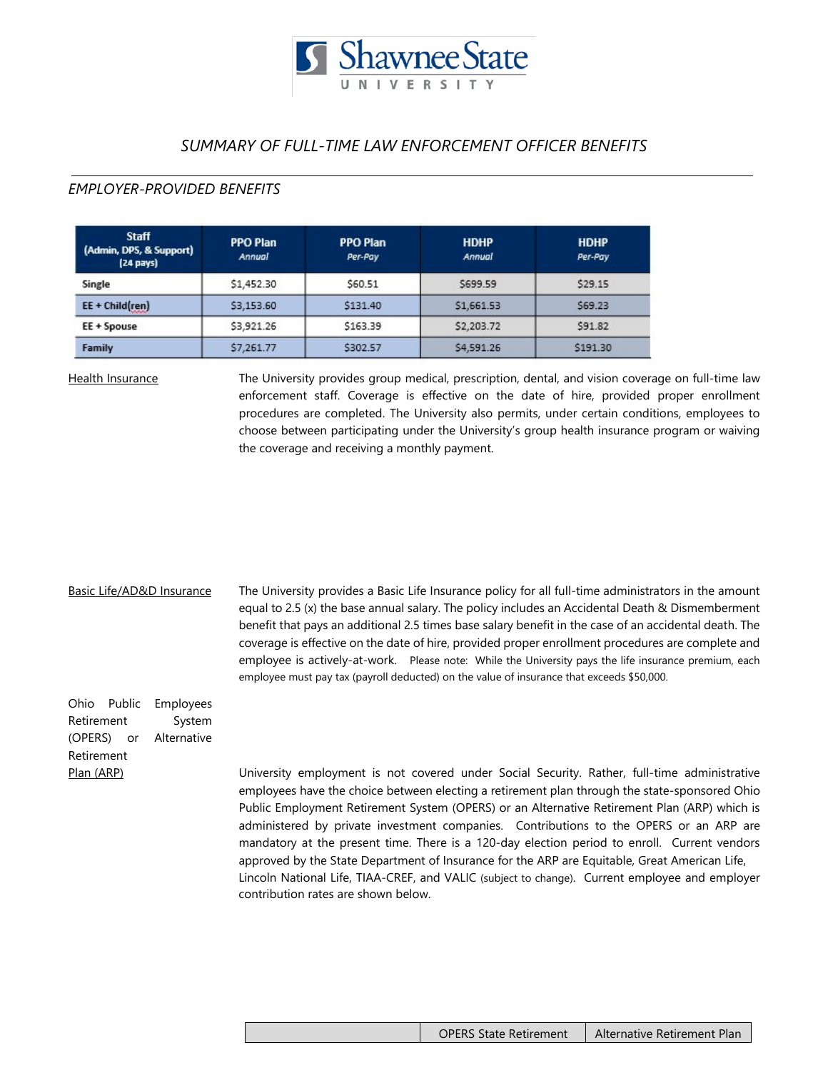

# *SUMMARY OF FULL-TIME LAW ENFORCEMENT OFFICER BENEFITS*

## *EMPLOYER-PROVIDED BENEFITS*

| <b>Staff</b><br>(Admin, DPS, & Support)<br>(24 pays) | <b>PPO Plan</b><br>Annual | <b>PPO Plan</b><br>Per-Pay | <b>HDHP</b><br>Annual | <b>HDHP</b><br>Per-Pay |
|------------------------------------------------------|---------------------------|----------------------------|-----------------------|------------------------|
| Single                                               | \$1,452.30                | \$60.51                    | \$699.59              | \$29.15                |
| $EE + Child(ren)$                                    | \$3,153.60                | \$131.40                   | \$1,661.53            | \$69.23                |
| EE + Spouse                                          | \$3,921.26                | \$163.39                   | \$2,203.72            | \$91.82                |
| Family                                               | \$7,261.77                | \$302.57                   | \$4,591.26            | \$191.30               |

Health Insurance The University provides group medical, prescription, dental, and vision coverage on full-time law enforcement staff. Coverage is effective on the date of hire, provided proper enrollment procedures are completed. The University also permits, under certain conditions, employees to choose between participating under the University's group health insurance program or waiving the coverage and receiving a monthly payment.

### Basic Life/AD&D Insurance

The University provides a Basic Life Insurance policy for all full-time administrators in the amount equal to 2.5 (x) the base annual salary. The policy includes an Accidental Death & Dismemberment benefit that pays an additional 2.5 times base salary benefit in the case of an accidental death. The coverage is effective on the date of hire, provided proper enrollment procedures are complete and employee is actively-at-work. Please note: While the University pays the life insurance premium, each employee must pay tax (payroll deducted) on the value of insurance that exceeds \$50,000.

| Ohio Public | Employees              |  |  |  |
|-------------|------------------------|--|--|--|
| Retirement  | System                 |  |  |  |
|             | (OPERS) or Alternative |  |  |  |
| Retirement  |                        |  |  |  |
| Plan (ARP)  |                        |  |  |  |
|             |                        |  |  |  |

University employment is not covered under Social Security. Rather, full-time administrative employees have the choice between electing a retirement plan through the state-sponsored Ohio Public Employment Retirement System (OPERS) or an Alternative Retirement Plan (ARP) which is administered by private investment companies. Contributions to the OPERS or an ARP are mandatory at the present time. There is a 120-day election period to enroll. Current vendors approved by the State Department of Insurance for the ARP are Equitable, Great American Life, Lincoln National Life, TIAA-CREF, and VALIC (subject to change). Current employee and employer contribution rates are shown below.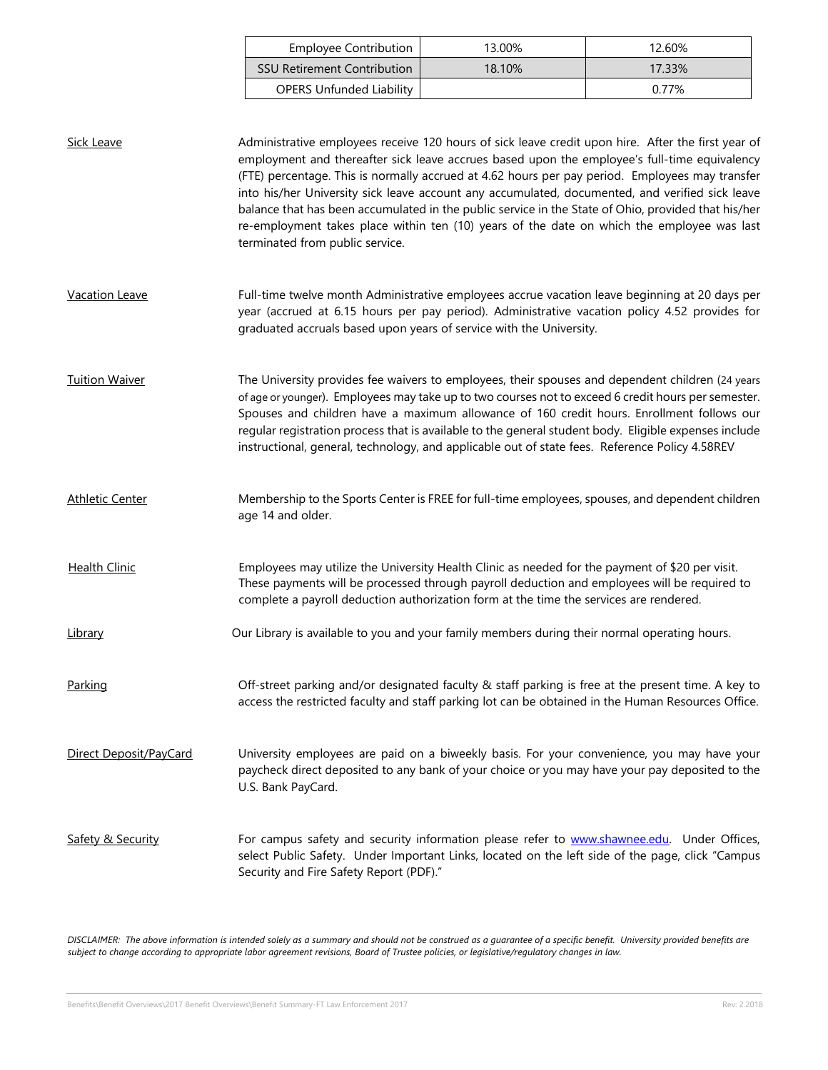|                        | <b>Employee Contribution</b>                                                                                                                                                                                                                                                                                                                                                                                                                                                                                                                                                                                                                     | 13.00%                                                                                                                                                                                                                                                                                    | 12.60% |  |  |  |
|------------------------|--------------------------------------------------------------------------------------------------------------------------------------------------------------------------------------------------------------------------------------------------------------------------------------------------------------------------------------------------------------------------------------------------------------------------------------------------------------------------------------------------------------------------------------------------------------------------------------------------------------------------------------------------|-------------------------------------------------------------------------------------------------------------------------------------------------------------------------------------------------------------------------------------------------------------------------------------------|--------|--|--|--|
|                        | <b>SSU Retirement Contribution</b>                                                                                                                                                                                                                                                                                                                                                                                                                                                                                                                                                                                                               | 18.10%                                                                                                                                                                                                                                                                                    | 17.33% |  |  |  |
|                        | <b>OPERS Unfunded Liability</b>                                                                                                                                                                                                                                                                                                                                                                                                                                                                                                                                                                                                                  |                                                                                                                                                                                                                                                                                           | 0.77%  |  |  |  |
| <b>Sick Leave</b>      | Administrative employees receive 120 hours of sick leave credit upon hire. After the first year of<br>employment and thereafter sick leave accrues based upon the employee's full-time equivalency<br>(FTE) percentage. This is normally accrued at 4.62 hours per pay period. Employees may transfer<br>into his/her University sick leave account any accumulated, documented, and verified sick leave<br>balance that has been accumulated in the public service in the State of Ohio, provided that his/her<br>re-employment takes place within ten (10) years of the date on which the employee was last<br>terminated from public service. |                                                                                                                                                                                                                                                                                           |        |  |  |  |
| <b>Vacation Leave</b>  | Full-time twelve month Administrative employees accrue vacation leave beginning at 20 days per<br>year (accrued at 6.15 hours per pay period). Administrative vacation policy 4.52 provides for<br>graduated accruals based upon years of service with the University.                                                                                                                                                                                                                                                                                                                                                                           |                                                                                                                                                                                                                                                                                           |        |  |  |  |
| <b>Tuition Waiver</b>  | The University provides fee waivers to employees, their spouses and dependent children (24 years<br>of age or younger). Employees may take up to two courses not to exceed 6 credit hours per semester.<br>Spouses and children have a maximum allowance of 160 credit hours. Enrollment follows our<br>regular registration process that is available to the general student body. Eligible expenses include<br>instructional, general, technology, and applicable out of state fees. Reference Policy 4.58REV                                                                                                                                  |                                                                                                                                                                                                                                                                                           |        |  |  |  |
| <b>Athletic Center</b> | Membership to the Sports Center is FREE for full-time employees, spouses, and dependent children<br>age 14 and older.                                                                                                                                                                                                                                                                                                                                                                                                                                                                                                                            |                                                                                                                                                                                                                                                                                           |        |  |  |  |
| <b>Health Clinic</b>   |                                                                                                                                                                                                                                                                                                                                                                                                                                                                                                                                                                                                                                                  | Employees may utilize the University Health Clinic as needed for the payment of \$20 per visit.<br>These payments will be processed through payroll deduction and employees will be required to<br>complete a payroll deduction authorization form at the time the services are rendered. |        |  |  |  |
| <u>Library</u>         | Our Library is available to you and your family members during their normal operating hours.                                                                                                                                                                                                                                                                                                                                                                                                                                                                                                                                                     |                                                                                                                                                                                                                                                                                           |        |  |  |  |
| Parking                | Off-street parking and/or designated faculty & staff parking is free at the present time. A key to<br>access the restricted faculty and staff parking lot can be obtained in the Human Resources Office.                                                                                                                                                                                                                                                                                                                                                                                                                                         |                                                                                                                                                                                                                                                                                           |        |  |  |  |
| Direct Deposit/PayCard | U.S. Bank PayCard.                                                                                                                                                                                                                                                                                                                                                                                                                                                                                                                                                                                                                               | University employees are paid on a biweekly basis. For your convenience, you may have your<br>paycheck direct deposited to any bank of your choice or you may have your pay deposited to the                                                                                              |        |  |  |  |
| Safety & Security      | For campus safety and security information please refer to www.shawnee.edu. Under Offices,<br>select Public Safety. Under Important Links, located on the left side of the page, click "Campus<br>Security and Fire Safety Report (PDF)."                                                                                                                                                                                                                                                                                                                                                                                                        |                                                                                                                                                                                                                                                                                           |        |  |  |  |

*DISCLAIMER: The above information is intended solely as a summary and should not be construed as a guarantee of a specific benefit. University provided benefits are subject to change according to appropriate labor agreement revisions, Board of Trustee policies, or legislative/regulatory changes in law.*